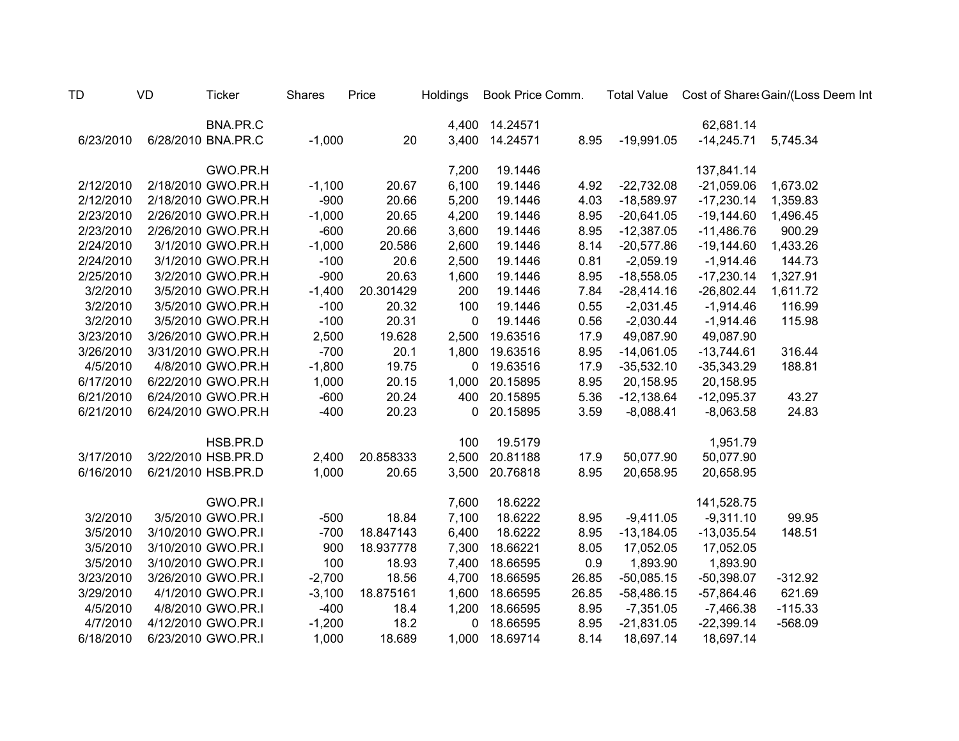| <b>TD</b> | VD | <b>Ticker</b>      | <b>Shares</b> | Price     | <b>Holdings</b> | Book Price Comm. |       | <b>Total Value</b> |              | Cost of Share: Gain/(Loss Deem Int |
|-----------|----|--------------------|---------------|-----------|-----------------|------------------|-------|--------------------|--------------|------------------------------------|
|           |    | BNA.PR.C           |               |           |                 | 4,400 14.24571   |       |                    | 62,681.14    |                                    |
| 6/23/2010 |    | 6/28/2010 BNA.PR.C | $-1,000$      | 20        |                 | 3,400 14.24571   | 8.95  | $-19,991.05$       | $-14,245.71$ | 5,745.34                           |
|           |    | GWO.PR.H           |               |           | 7,200           | 19.1446          |       |                    | 137,841.14   |                                    |
| 2/12/2010 |    | 2/18/2010 GWO.PR.H | $-1,100$      | 20.67     | 6,100           | 19.1446          | 4.92  | $-22,732.08$       | $-21,059.06$ | 1,673.02                           |
| 2/12/2010 |    | 2/18/2010 GWO.PR.H | $-900$        | 20.66     | 5,200           | 19.1446          | 4.03  | $-18,589.97$       | $-17,230.14$ | 1,359.83                           |
| 2/23/2010 |    | 2/26/2010 GWO.PR.H | $-1,000$      | 20.65     | 4,200           | 19.1446          | 8.95  | $-20,641.05$       | $-19,144.60$ | 1,496.45                           |
| 2/23/2010 |    | 2/26/2010 GWO.PR.H | $-600$        | 20.66     | 3,600           | 19.1446          | 8.95  | $-12,387.05$       | $-11,486.76$ | 900.29                             |
| 2/24/2010 |    | 3/1/2010 GWO.PR.H  | $-1,000$      | 20.586    | 2,600           | 19.1446          | 8.14  | $-20,577.86$       | $-19,144.60$ | 1,433.26                           |
| 2/24/2010 |    | 3/1/2010 GWO.PR.H  | $-100$        | 20.6      | 2,500           | 19.1446          | 0.81  | $-2,059.19$        | $-1,914.46$  | 144.73                             |
| 2/25/2010 |    | 3/2/2010 GWO.PR.H  | $-900$        | 20.63     | 1,600           | 19.1446          | 8.95  | $-18,558.05$       | $-17,230.14$ | 1,327.91                           |
| 3/2/2010  |    | 3/5/2010 GWO.PR.H  | $-1,400$      | 20.301429 | 200             | 19.1446          | 7.84  | $-28,414.16$       | $-26,802.44$ | 1,611.72                           |
| 3/2/2010  |    | 3/5/2010 GWO.PR.H  | $-100$        | 20.32     | 100             | 19.1446          | 0.55  | $-2,031.45$        | $-1,914.46$  | 116.99                             |
| 3/2/2010  |    | 3/5/2010 GWO.PR.H  | $-100$        | 20.31     | 0               | 19.1446          | 0.56  | $-2,030.44$        | $-1,914.46$  | 115.98                             |
| 3/23/2010 |    | 3/26/2010 GWO.PR.H | 2,500         | 19.628    | 2,500           | 19.63516         | 17.9  | 49,087.90          | 49,087.90    |                                    |
| 3/26/2010 |    | 3/31/2010 GWO.PR.H | $-700$        | 20.1      | 1,800           | 19.63516         | 8.95  | $-14,061.05$       | $-13,744.61$ | 316.44                             |
| 4/5/2010  |    | 4/8/2010 GWO.PR.H  | $-1,800$      | 19.75     | $\mathbf 0$     | 19.63516         | 17.9  | $-35,532.10$       | $-35,343.29$ | 188.81                             |
| 6/17/2010 |    | 6/22/2010 GWO.PR.H | 1,000         | 20.15     | 1,000           | 20.15895         | 8.95  | 20,158.95          | 20,158.95    |                                    |
| 6/21/2010 |    | 6/24/2010 GWO.PR.H | $-600$        | 20.24     | 400             | 20.15895         | 5.36  | $-12,138.64$       | $-12,095.37$ | 43.27                              |
| 6/21/2010 |    | 6/24/2010 GWO.PR.H | $-400$        | 20.23     | $\mathbf 0$     | 20.15895         | 3.59  | $-8,088.41$        | $-8,063.58$  | 24.83                              |
|           |    | HSB.PR.D           |               |           | 100             | 19.5179          |       |                    | 1,951.79     |                                    |
| 3/17/2010 |    | 3/22/2010 HSB.PR.D | 2,400         | 20.858333 | 2,500           | 20.81188         | 17.9  | 50,077.90          | 50,077.90    |                                    |
| 6/16/2010 |    | 6/21/2010 HSB.PR.D | 1,000         | 20.65     | 3,500           | 20.76818         | 8.95  | 20,658.95          | 20,658.95    |                                    |
|           |    | GWO.PR.I           |               |           | 7,600           | 18.6222          |       |                    | 141,528.75   |                                    |
| 3/2/2010  |    | 3/5/2010 GWO.PR.I  | $-500$        | 18.84     | 7,100           | 18.6222          | 8.95  | $-9,411.05$        | $-9,311.10$  | 99.95                              |
| 3/5/2010  |    | 3/10/2010 GWO.PR.I | $-700$        | 18.847143 | 6,400           | 18.6222          | 8.95  | $-13,184.05$       | $-13,035.54$ | 148.51                             |
| 3/5/2010  |    | 3/10/2010 GWO.PR.I | 900           | 18.937778 | 7,300           | 18.66221         | 8.05  | 17,052.05          | 17,052.05    |                                    |
| 3/5/2010  |    | 3/10/2010 GWO.PR.I | 100           | 18.93     | 7,400           | 18.66595         | 0.9   | 1,893.90           | 1,893.90     |                                    |
| 3/23/2010 |    | 3/26/2010 GWO.PR.I | $-2,700$      | 18.56     | 4,700           | 18.66595         | 26.85 | $-50,085.15$       | $-50,398.07$ | $-312.92$                          |
| 3/29/2010 |    | 4/1/2010 GWO.PR.I  | $-3,100$      | 18.875161 | 1,600           | 18.66595         | 26.85 | $-58,486.15$       | $-57,864.46$ | 621.69                             |
| 4/5/2010  |    | 4/8/2010 GWO.PR.I  | $-400$        | 18.4      | 1,200           | 18.66595         | 8.95  | $-7,351.05$        | $-7,466.38$  | $-115.33$                          |
| 4/7/2010  |    | 4/12/2010 GWO.PR.I | $-1,200$      | 18.2      | 0               | 18.66595         | 8.95  | $-21,831.05$       | $-22,399.14$ | $-568.09$                          |
| 6/18/2010 |    | 6/23/2010 GWO.PR.I | 1,000         | 18.689    | 1,000           | 18.69714         | 8.14  | 18,697.14          | 18,697.14    |                                    |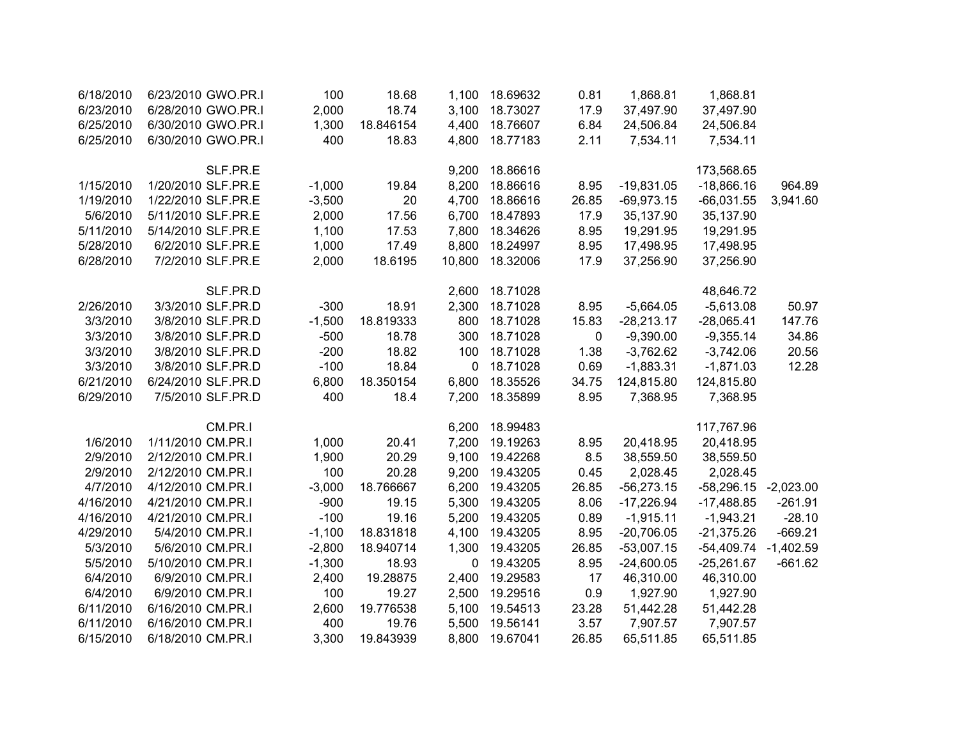| 6/18/2010 | 6/23/2010 GWO.PR.I | 100      | 18.68     | 1,100  | 18.69632 | 0.81        | 1,868.81     | 1,868.81                 |             |
|-----------|--------------------|----------|-----------|--------|----------|-------------|--------------|--------------------------|-------------|
| 6/23/2010 | 6/28/2010 GWO.PR.I | 2,000    | 18.74     | 3,100  | 18.73027 | 17.9        | 37,497.90    | 37,497.90                |             |
| 6/25/2010 | 6/30/2010 GWO.PR.I | 1,300    | 18.846154 | 4,400  | 18.76607 | 6.84        | 24,506.84    | 24,506.84                |             |
| 6/25/2010 | 6/30/2010 GWO.PR.I | 400      | 18.83     | 4,800  | 18.77183 | 2.11        | 7,534.11     | 7,534.11                 |             |
|           | SLF.PR.E           |          |           | 9,200  | 18.86616 |             |              | 173,568.65               |             |
| 1/15/2010 | 1/20/2010 SLF.PR.E | $-1,000$ | 19.84     | 8,200  | 18.86616 | 8.95        | $-19,831.05$ | $-18,866.16$             | 964.89      |
| 1/19/2010 | 1/22/2010 SLF.PR.E | $-3,500$ | 20        | 4,700  | 18.86616 | 26.85       | $-69,973.15$ | $-66,031.55$             | 3,941.60    |
| 5/6/2010  | 5/11/2010 SLF.PR.E | 2,000    | 17.56     | 6,700  | 18.47893 | 17.9        | 35,137.90    | 35,137.90                |             |
| 5/11/2010 | 5/14/2010 SLF.PR.E | 1,100    | 17.53     | 7,800  | 18.34626 | 8.95        | 19,291.95    | 19,291.95                |             |
| 5/28/2010 | 6/2/2010 SLF.PR.E  | 1,000    | 17.49     | 8,800  | 18.24997 | 8.95        | 17,498.95    | 17,498.95                |             |
| 6/28/2010 | 7/2/2010 SLF.PR.E  | 2,000    | 18.6195   | 10,800 | 18.32006 | 17.9        | 37,256.90    | 37,256.90                |             |
|           | SLF.PR.D           |          |           | 2,600  | 18.71028 |             |              | 48,646.72                |             |
| 2/26/2010 | 3/3/2010 SLF.PR.D  | $-300$   | 18.91     | 2,300  | 18.71028 | 8.95        | $-5,664.05$  | $-5,613.08$              | 50.97       |
| 3/3/2010  | 3/8/2010 SLF.PR.D  | $-1,500$ | 18.819333 | 800    | 18.71028 | 15.83       | $-28,213.17$ | $-28,065.41$             | 147.76      |
| 3/3/2010  | 3/8/2010 SLF.PR.D  | $-500$   | 18.78     | 300    | 18.71028 | $\mathbf 0$ | $-9,390.00$  | $-9,355.14$              | 34.86       |
| 3/3/2010  | 3/8/2010 SLF.PR.D  | $-200$   | 18.82     | 100    | 18.71028 | 1.38        | $-3,762.62$  | $-3,742.06$              | 20.56       |
| 3/3/2010  | 3/8/2010 SLF.PR.D  | $-100$   | 18.84     | 0      | 18.71028 | 0.69        | $-1,883.31$  | $-1,871.03$              | 12.28       |
| 6/21/2010 | 6/24/2010 SLF.PR.D | 6,800    | 18.350154 | 6,800  | 18.35526 | 34.75       | 124,815.80   | 124,815.80               |             |
| 6/29/2010 | 7/5/2010 SLF.PR.D  | 400      | 18.4      | 7,200  | 18.35899 | 8.95        | 7,368.95     | 7,368.95                 |             |
|           | CM.PR.I            |          |           | 6,200  | 18.99483 |             |              | 117,767.96               |             |
| 1/6/2010  | 1/11/2010 CM.PR.I  | 1,000    | 20.41     | 7,200  | 19.19263 | 8.95        | 20,418.95    | 20,418.95                |             |
| 2/9/2010  | 2/12/2010 CM.PR.I  | 1,900    | 20.29     | 9,100  | 19.42268 | 8.5         | 38,559.50    | 38,559.50                |             |
| 2/9/2010  | 2/12/2010 CM.PR.I  | 100      | 20.28     | 9,200  | 19.43205 | 0.45        | 2,028.45     | 2,028.45                 |             |
| 4/7/2010  | 4/12/2010 CM.PR.I  | $-3,000$ | 18.766667 | 6,200  | 19.43205 | 26.85       | $-56,273.15$ | $-58,296.15$ $-2,023.00$ |             |
| 4/16/2010 | 4/21/2010 CM.PR.I  | $-900$   | 19.15     | 5,300  | 19.43205 | 8.06        | $-17,226.94$ | $-17,488.85$             | $-261.91$   |
| 4/16/2010 | 4/21/2010 CM.PR.I  | $-100$   | 19.16     | 5,200  | 19.43205 | 0.89        | $-1,915.11$  | $-1,943.21$              | $-28.10$    |
| 4/29/2010 | 5/4/2010 CM.PR.I   | $-1,100$ | 18.831818 | 4,100  | 19.43205 | 8.95        | $-20,706.05$ | $-21,375.26$             | $-669.21$   |
| 5/3/2010  | 5/6/2010 CM.PR.I   | $-2,800$ | 18.940714 | 1,300  | 19.43205 | 26.85       | $-53,007.15$ | -54,409.74               | $-1,402.59$ |
| 5/5/2010  | 5/10/2010 CM.PR.I  | $-1,300$ | 18.93     | 0      | 19.43205 | 8.95        | $-24,600.05$ | $-25,261.67$             | $-661.62$   |
| 6/4/2010  | 6/9/2010 CM.PR.I   | 2,400    | 19.28875  | 2,400  | 19.29583 | 17          | 46,310.00    | 46,310.00                |             |
| 6/4/2010  | 6/9/2010 CM.PR.I   | 100      | 19.27     | 2,500  | 19.29516 | 0.9         | 1,927.90     | 1,927.90                 |             |
| 6/11/2010 | 6/16/2010 CM.PR.I  | 2,600    | 19.776538 | 5,100  | 19.54513 | 23.28       | 51,442.28    | 51,442.28                |             |
| 6/11/2010 | 6/16/2010 CM.PR.I  | 400      | 19.76     | 5,500  | 19.56141 | 3.57        | 7,907.57     | 7,907.57                 |             |
| 6/15/2010 | 6/18/2010 CM.PR.I  | 3,300    | 19.843939 | 8,800  | 19.67041 | 26.85       | 65,511.85    | 65,511.85                |             |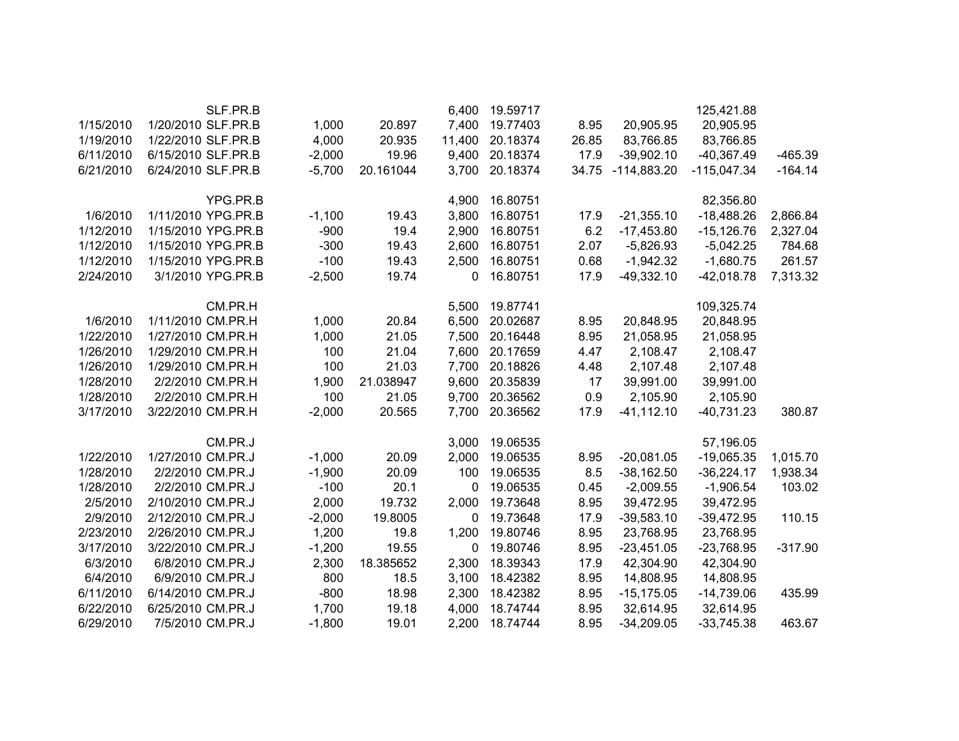|           | SLF.PR.B           |          |           | 6,400  | 19.59717 |       |               | 125,421.88    |           |
|-----------|--------------------|----------|-----------|--------|----------|-------|---------------|---------------|-----------|
| 1/15/2010 | 1/20/2010 SLF.PR.B | 1,000    | 20.897    | 7,400  | 19.77403 | 8.95  | 20,905.95     | 20,905.95     |           |
| 1/19/2010 | 1/22/2010 SLF.PR.B | 4,000    | 20.935    | 11,400 | 20.18374 | 26.85 | 83,766.85     | 83,766.85     |           |
| 6/11/2010 | 6/15/2010 SLF.PR.B | $-2,000$ | 19.96     | 9,400  | 20.18374 | 17.9  | $-39,902.10$  | $-40,367.49$  | $-465.39$ |
| 6/21/2010 | 6/24/2010 SLF.PR.B | $-5,700$ | 20.161044 | 3,700  | 20.18374 | 34.75 | $-114,883.20$ | $-115,047.34$ | $-164.14$ |
|           |                    |          |           |        |          |       |               |               |           |
|           | YPG.PR.B           |          |           | 4,900  | 16.80751 |       |               | 82,356.80     |           |
| 1/6/2010  | 1/11/2010 YPG.PR.B | $-1,100$ | 19.43     | 3,800  | 16.80751 | 17.9  | $-21,355.10$  | $-18,488.26$  | 2,866.84  |
| 1/12/2010 | 1/15/2010 YPG.PR.B | $-900$   | 19.4      | 2,900  | 16.80751 | 6.2   | $-17,453.80$  | $-15,126.76$  | 2,327.04  |
| 1/12/2010 | 1/15/2010 YPG.PR.B | $-300$   | 19.43     | 2,600  | 16.80751 | 2.07  | $-5,826.93$   | $-5,042.25$   | 784.68    |
| 1/12/2010 | 1/15/2010 YPG.PR.B | $-100$   | 19.43     | 2,500  | 16.80751 | 0.68  | $-1,942.32$   | $-1,680.75$   | 261.57    |
| 2/24/2010 | 3/1/2010 YPG.PR.B  | $-2,500$ | 19.74     | 0      | 16.80751 | 17.9  | $-49,332.10$  | $-42,018.78$  | 7,313.32  |
|           |                    |          |           |        |          |       |               |               |           |
|           | CM.PR.H            |          |           | 5,500  | 19.87741 |       |               | 109,325.74    |           |
| 1/6/2010  | 1/11/2010 CM.PR.H  | 1,000    | 20.84     | 6,500  | 20.02687 | 8.95  | 20,848.95     | 20,848.95     |           |
| 1/22/2010 | 1/27/2010 CM.PR.H  | 1,000    | 21.05     | 7,500  | 20.16448 | 8.95  | 21,058.95     | 21,058.95     |           |
| 1/26/2010 | 1/29/2010 CM.PR.H  | 100      | 21.04     | 7,600  | 20.17659 | 4.47  | 2,108.47      | 2,108.47      |           |
| 1/26/2010 | 1/29/2010 CM.PR.H  | 100      | 21.03     | 7,700  | 20.18826 | 4.48  | 2,107.48      | 2,107.48      |           |
| 1/28/2010 | 2/2/2010 CM.PR.H   | 1,900    | 21.038947 | 9,600  | 20.35839 | 17    | 39,991.00     | 39,991.00     |           |
| 1/28/2010 | 2/2/2010 CM.PR.H   | 100      | 21.05     | 9,700  | 20.36562 | 0.9   | 2,105.90      | 2,105.90      |           |
| 3/17/2010 | 3/22/2010 CM.PR.H  | $-2,000$ | 20.565    | 7,700  | 20.36562 | 17.9  | $-41, 112.10$ | $-40,731.23$  | 380.87    |
|           |                    |          |           |        |          |       |               |               |           |
|           | CM.PR.J            |          |           | 3,000  | 19.06535 |       |               | 57,196.05     |           |
| 1/22/2010 | 1/27/2010 CM.PR.J  | $-1,000$ | 20.09     | 2,000  | 19.06535 | 8.95  | $-20,081.05$  | $-19,065.35$  | 1,015.70  |
| 1/28/2010 | 2/2/2010 CM.PR.J   | $-1,900$ | 20.09     | 100    | 19.06535 | 8.5   | $-38,162.50$  | $-36,224.17$  | 1,938.34  |
| 1/28/2010 | 2/2/2010 CM.PR.J   | $-100$   | 20.1      | 0      | 19.06535 | 0.45  | $-2,009.55$   | $-1,906.54$   | 103.02    |
| 2/5/2010  | 2/10/2010 CM.PR.J  | 2,000    | 19.732    | 2,000  | 19.73648 | 8.95  | 39,472.95     | 39,472.95     |           |
| 2/9/2010  | 2/12/2010 CM.PR.J  | $-2,000$ | 19.8005   | 0      | 19.73648 | 17.9  | $-39,583.10$  | $-39,472.95$  | 110.15    |
| 2/23/2010 | 2/26/2010 CM.PR.J  | 1,200    | 19.8      | 1,200  | 19.80746 | 8.95  | 23,768.95     | 23,768.95     |           |
| 3/17/2010 | 3/22/2010 CM.PR.J  | $-1,200$ | 19.55     | 0      | 19.80746 | 8.95  | $-23,451.05$  | $-23,768.95$  | $-317.90$ |
| 6/3/2010  | 6/8/2010 CM.PR.J   | 2,300    | 18.385652 | 2,300  | 18.39343 | 17.9  | 42,304.90     | 42,304.90     |           |
| 6/4/2010  | 6/9/2010 CM.PR.J   | 800      | 18.5      | 3,100  | 18.42382 | 8.95  | 14,808.95     | 14,808.95     |           |
| 6/11/2010 | 6/14/2010 CM.PR.J  | $-800$   | 18.98     | 2,300  | 18.42382 | 8.95  | $-15, 175.05$ | $-14,739.06$  | 435.99    |
| 6/22/2010 | 6/25/2010 CM.PR.J  | 1,700    | 19.18     | 4,000  | 18.74744 | 8.95  | 32,614.95     | 32,614.95     |           |
| 6/29/2010 | 7/5/2010 CM.PR.J   | $-1,800$ | 19.01     | 2,200  | 18.74744 | 8.95  | $-34,209.05$  | $-33,745.38$  | 463.67    |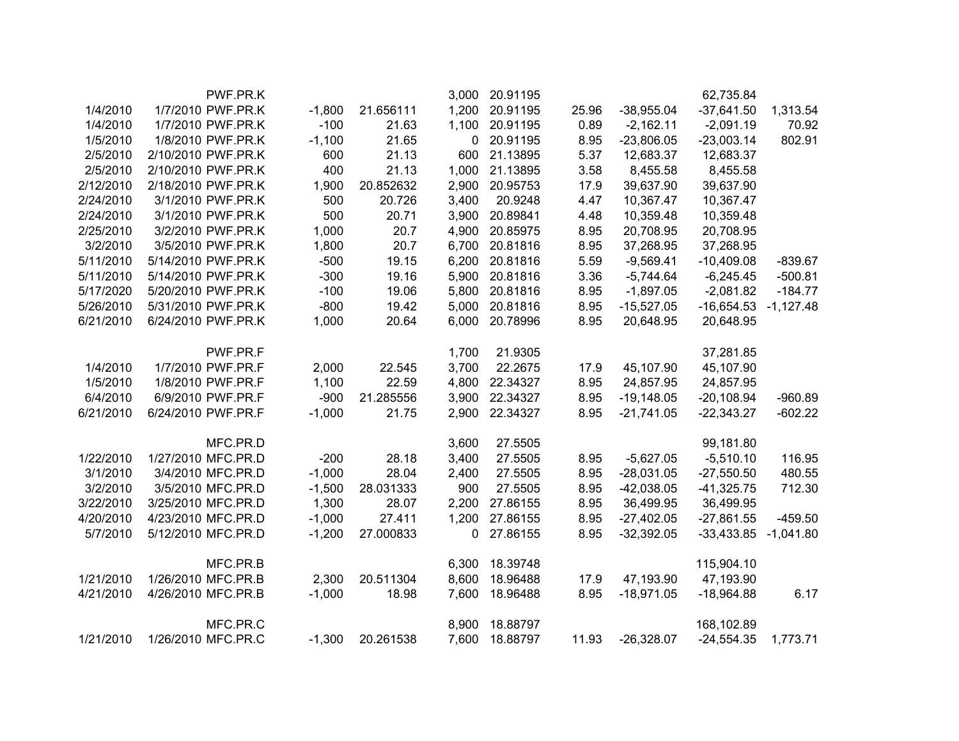|           | PWF.PR.K           |          |           | 3,000       | 20.91195 |       |              | 62,735.84    |             |
|-----------|--------------------|----------|-----------|-------------|----------|-------|--------------|--------------|-------------|
| 1/4/2010  | 1/7/2010 PWF.PR.K  | $-1,800$ | 21.656111 | 1,200       | 20.91195 | 25.96 | $-38,955.04$ | $-37,641.50$ | 1,313.54    |
| 1/4/2010  | 1/7/2010 PWF.PR.K  | $-100$   | 21.63     | 1,100       | 20.91195 | 0.89  | $-2,162.11$  | $-2,091.19$  | 70.92       |
| 1/5/2010  | 1/8/2010 PWF.PR.K  | $-1,100$ | 21.65     | $\mathbf 0$ | 20.91195 | 8.95  | $-23,806.05$ | $-23,003.14$ | 802.91      |
| 2/5/2010  | 2/10/2010 PWF.PR.K | 600      | 21.13     | 600         | 21.13895 | 5.37  | 12,683.37    | 12,683.37    |             |
| 2/5/2010  | 2/10/2010 PWF.PR.K | 400      | 21.13     | 1,000       | 21.13895 | 3.58  | 8,455.58     | 8,455.58     |             |
| 2/12/2010 | 2/18/2010 PWF.PR.K | 1,900    | 20.852632 | 2,900       | 20.95753 | 17.9  | 39,637.90    | 39,637.90    |             |
| 2/24/2010 | 3/1/2010 PWF.PR.K  | 500      | 20.726    | 3,400       | 20.9248  | 4.47  | 10,367.47    | 10,367.47    |             |
| 2/24/2010 | 3/1/2010 PWF.PR.K  | 500      | 20.71     | 3,900       | 20.89841 | 4.48  | 10,359.48    | 10,359.48    |             |
| 2/25/2010 | 3/2/2010 PWF.PR.K  | 1,000    | 20.7      | 4,900       | 20.85975 | 8.95  | 20,708.95    | 20,708.95    |             |
| 3/2/2010  | 3/5/2010 PWF.PR.K  | 1,800    | 20.7      | 6,700       | 20.81816 | 8.95  | 37,268.95    | 37,268.95    |             |
| 5/11/2010 | 5/14/2010 PWF.PR.K | $-500$   | 19.15     | 6,200       | 20.81816 | 5.59  | $-9,569.41$  | $-10,409.08$ | $-839.67$   |
| 5/11/2010 | 5/14/2010 PWF.PR.K | $-300$   | 19.16     | 5,900       | 20.81816 | 3.36  | $-5,744.64$  | $-6,245.45$  | $-500.81$   |
| 5/17/2020 | 5/20/2010 PWF.PR.K | $-100$   | 19.06     | 5,800       | 20.81816 | 8.95  | $-1,897.05$  | $-2,081.82$  | $-184.77$   |
| 5/26/2010 | 5/31/2010 PWF.PR.K | $-800$   | 19.42     | 5,000       | 20.81816 | 8.95  | $-15,527.05$ | $-16,654.53$ | $-1,127.48$ |
| 6/21/2010 | 6/24/2010 PWF.PR.K | 1,000    | 20.64     | 6,000       | 20.78996 | 8.95  | 20,648.95    | 20,648.95    |             |
|           | PWF.PR.F           |          |           | 1,700       | 21.9305  |       |              | 37,281.85    |             |
| 1/4/2010  | 1/7/2010 PWF.PR.F  | 2,000    | 22.545    | 3,700       | 22.2675  | 17.9  | 45,107.90    | 45,107.90    |             |
| 1/5/2010  | 1/8/2010 PWF.PR.F  | 1,100    | 22.59     | 4,800       | 22.34327 | 8.95  | 24,857.95    | 24,857.95    |             |
| 6/4/2010  | 6/9/2010 PWF.PR.F  | $-900$   | 21.285556 | 3,900       | 22.34327 | 8.95  | $-19,148.05$ | $-20,108.94$ | $-960.89$   |
| 6/21/2010 | 6/24/2010 PWF.PR.F | $-1,000$ | 21.75     | 2,900       | 22.34327 | 8.95  | $-21,741.05$ | $-22,343.27$ | $-602.22$   |
|           | MFC.PR.D           |          |           | 3,600       | 27.5505  |       |              | 99,181.80    |             |
| 1/22/2010 | 1/27/2010 MFC.PR.D | $-200$   | 28.18     | 3,400       | 27.5505  | 8.95  | $-5,627.05$  | $-5,510.10$  | 116.95      |
| 3/1/2010  | 3/4/2010 MFC.PR.D  | $-1,000$ | 28.04     | 2,400       | 27.5505  | 8.95  | $-28,031.05$ | $-27,550.50$ | 480.55      |
| 3/2/2010  | 3/5/2010 MFC.PR.D  | $-1,500$ | 28.031333 | 900         | 27.5505  | 8.95  | $-42,038.05$ | $-41,325.75$ | 712.30      |
| 3/22/2010 | 3/25/2010 MFC.PR.D | 1,300    | 28.07     | 2,200       | 27.86155 | 8.95  | 36,499.95    | 36,499.95    |             |
| 4/20/2010 | 4/23/2010 MFC.PR.D | $-1,000$ | 27.411    | 1,200       | 27.86155 | 8.95  | $-27,402.05$ | $-27,861.55$ | $-459.50$   |
| 5/7/2010  | 5/12/2010 MFC.PR.D | $-1,200$ | 27.000833 | 0           | 27.86155 | 8.95  | $-32,392.05$ | $-33,433.85$ | $-1,041.80$ |
|           | MFC.PR.B           |          |           | 6,300       | 18.39748 |       |              | 115,904.10   |             |
| 1/21/2010 | 1/26/2010 MFC.PR.B | 2,300    | 20.511304 | 8,600       | 18.96488 | 17.9  | 47,193.90    | 47,193.90    |             |
| 4/21/2010 | 4/26/2010 MFC.PR.B | $-1,000$ | 18.98     | 7,600       | 18.96488 | 8.95  | $-18,971.05$ | $-18,964.88$ | 6.17        |
|           | MFC.PR.C           |          |           | 8,900       | 18.88797 |       |              | 168,102.89   |             |
| 1/21/2010 | 1/26/2010 MFC.PR.C | $-1,300$ | 20.261538 | 7,600       | 18.88797 | 11.93 | $-26,328.07$ | $-24,554.35$ | 1,773.71    |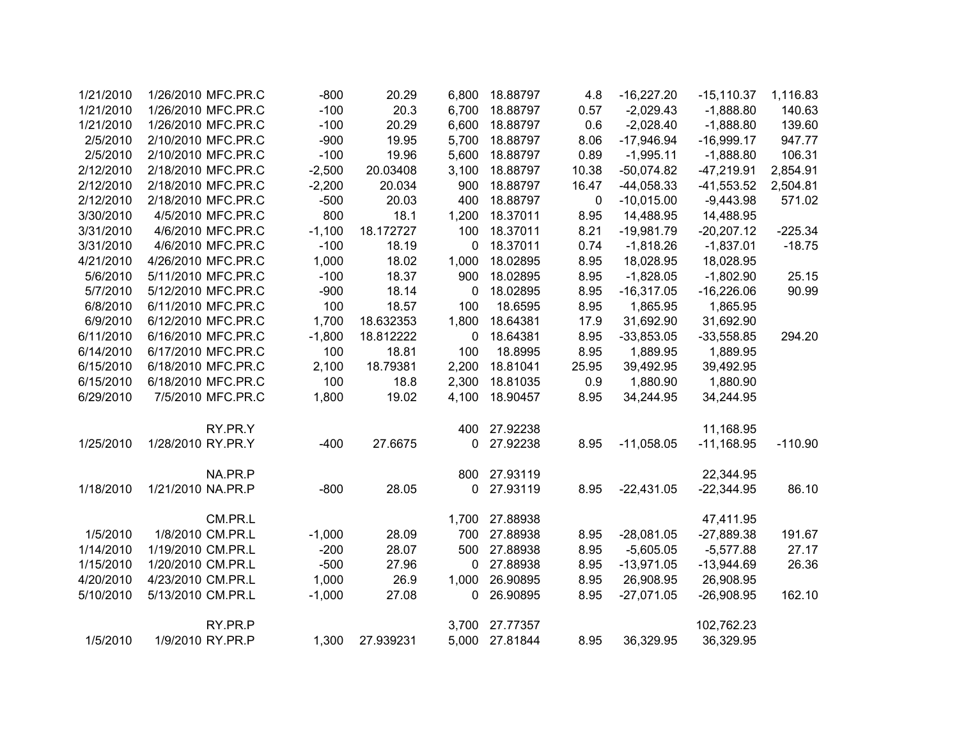| 1/21/2010 | 1/26/2010 MFC.PR.C | $-800$   | 20.29     | 6,800 | 18.88797 | 4.8         | $-16,227.20$ | $-15,110.37$ | 1,116.83  |
|-----------|--------------------|----------|-----------|-------|----------|-------------|--------------|--------------|-----------|
| 1/21/2010 | 1/26/2010 MFC.PR.C | $-100$   | 20.3      | 6,700 | 18.88797 | 0.57        | $-2,029.43$  | $-1,888.80$  | 140.63    |
| 1/21/2010 | 1/26/2010 MFC.PR.C | $-100$   | 20.29     | 6,600 | 18.88797 | 0.6         | $-2,028.40$  | $-1,888.80$  | 139.60    |
| 2/5/2010  | 2/10/2010 MFC.PR.C | $-900$   | 19.95     | 5,700 | 18.88797 | 8.06        | $-17,946.94$ | $-16,999.17$ | 947.77    |
| 2/5/2010  | 2/10/2010 MFC.PR.C | $-100$   | 19.96     | 5,600 | 18.88797 | 0.89        | $-1,995.11$  | $-1,888.80$  | 106.31    |
| 2/12/2010 | 2/18/2010 MFC.PR.C | $-2,500$ | 20.03408  | 3,100 | 18.88797 | 10.38       | $-50,074.82$ | $-47,219.91$ | 2,854.91  |
| 2/12/2010 | 2/18/2010 MFC.PR.C | $-2,200$ | 20.034    | 900   | 18.88797 | 16.47       | $-44,058.33$ | $-41,553.52$ | 2,504.81  |
| 2/12/2010 | 2/18/2010 MFC.PR.C | $-500$   | 20.03     | 400   | 18.88797 | $\mathbf 0$ | $-10,015.00$ | $-9,443.98$  | 571.02    |
| 3/30/2010 | 4/5/2010 MFC.PR.C  | 800      | 18.1      | 1,200 | 18.37011 | 8.95        | 14,488.95    | 14,488.95    |           |
| 3/31/2010 | 4/6/2010 MFC.PR.C  | $-1,100$ | 18.172727 | 100   | 18.37011 | 8.21        | $-19,981.79$ | $-20,207.12$ | $-225.34$ |
| 3/31/2010 | 4/6/2010 MFC.PR.C  | $-100$   | 18.19     | 0     | 18.37011 | 0.74        | $-1,818.26$  | $-1,837.01$  | $-18.75$  |
| 4/21/2010 | 4/26/2010 MFC.PR.C | 1,000    | 18.02     | 1,000 | 18.02895 | 8.95        | 18,028.95    | 18,028.95    |           |
| 5/6/2010  | 5/11/2010 MFC.PR.C | $-100$   | 18.37     | 900   | 18.02895 | 8.95        | $-1,828.05$  | $-1,802.90$  | 25.15     |
| 5/7/2010  | 5/12/2010 MFC.PR.C | $-900$   | 18.14     | 0     | 18.02895 | 8.95        | $-16,317.05$ | $-16,226.06$ | 90.99     |
| 6/8/2010  | 6/11/2010 MFC.PR.C | 100      | 18.57     | 100   | 18.6595  | 8.95        | 1,865.95     | 1,865.95     |           |
| 6/9/2010  | 6/12/2010 MFC.PR.C | 1,700    | 18.632353 | 1,800 | 18.64381 | 17.9        | 31,692.90    | 31,692.90    |           |
| 6/11/2010 | 6/16/2010 MFC.PR.C | $-1,800$ | 18.812222 | 0     | 18.64381 | 8.95        | $-33,853.05$ | $-33,558.85$ | 294.20    |
| 6/14/2010 | 6/17/2010 MFC.PR.C | 100      | 18.81     | 100   | 18.8995  | 8.95        | 1,889.95     | 1,889.95     |           |
| 6/15/2010 | 6/18/2010 MFC.PR.C | 2,100    | 18.79381  | 2,200 | 18.81041 | 25.95       | 39,492.95    | 39,492.95    |           |
| 6/15/2010 | 6/18/2010 MFC.PR.C | 100      | 18.8      | 2,300 | 18.81035 | 0.9         | 1,880.90     | 1,880.90     |           |
| 6/29/2010 | 7/5/2010 MFC.PR.C  | 1,800    | 19.02     | 4,100 | 18.90457 | 8.95        | 34,244.95    | 34,244.95    |           |
|           | RY.PR.Y            |          |           | 400   | 27.92238 |             |              | 11,168.95    |           |
| 1/25/2010 | 1/28/2010 RY.PR.Y  | $-400$   | 27.6675   | 0     | 27.92238 | 8.95        | $-11,058.05$ | $-11,168.95$ | $-110.90$ |
|           | NA.PR.P            |          |           | 800   | 27.93119 |             |              | 22,344.95    |           |
| 1/18/2010 | 1/21/2010 NA.PR.P  | $-800$   | 28.05     | 0     | 27.93119 | 8.95        | $-22,431.05$ | $-22,344.95$ | 86.10     |
|           | CM.PR.L            |          |           | 1,700 | 27.88938 |             |              | 47,411.95    |           |
| 1/5/2010  | 1/8/2010 CM.PR.L   | $-1,000$ | 28.09     | 700   | 27.88938 | 8.95        | $-28,081.05$ | $-27,889.38$ | 191.67    |
| 1/14/2010 | 1/19/2010 CM.PR.L  | $-200$   | 28.07     | 500   | 27.88938 | 8.95        | $-5,605.05$  | $-5,577.88$  | 27.17     |
| 1/15/2010 | 1/20/2010 CM.PR.L  | $-500$   | 27.96     | 0     | 27.88938 | 8.95        | $-13,971.05$ | $-13,944.69$ | 26.36     |
| 4/20/2010 | 4/23/2010 CM.PR.L  | 1,000    | 26.9      | 1,000 | 26.90895 | 8.95        | 26,908.95    | 26,908.95    |           |
| 5/10/2010 | 5/13/2010 CM.PR.L  | $-1,000$ | 27.08     | 0     | 26.90895 | 8.95        | $-27,071.05$ | $-26,908.95$ | 162.10    |
|           | RY.PR.P            |          |           | 3,700 | 27.77357 |             |              | 102,762.23   |           |
| 1/5/2010  | 1/9/2010 RY.PR.P   | 1,300    | 27.939231 | 5,000 | 27.81844 | 8.95        | 36,329.95    | 36,329.95    |           |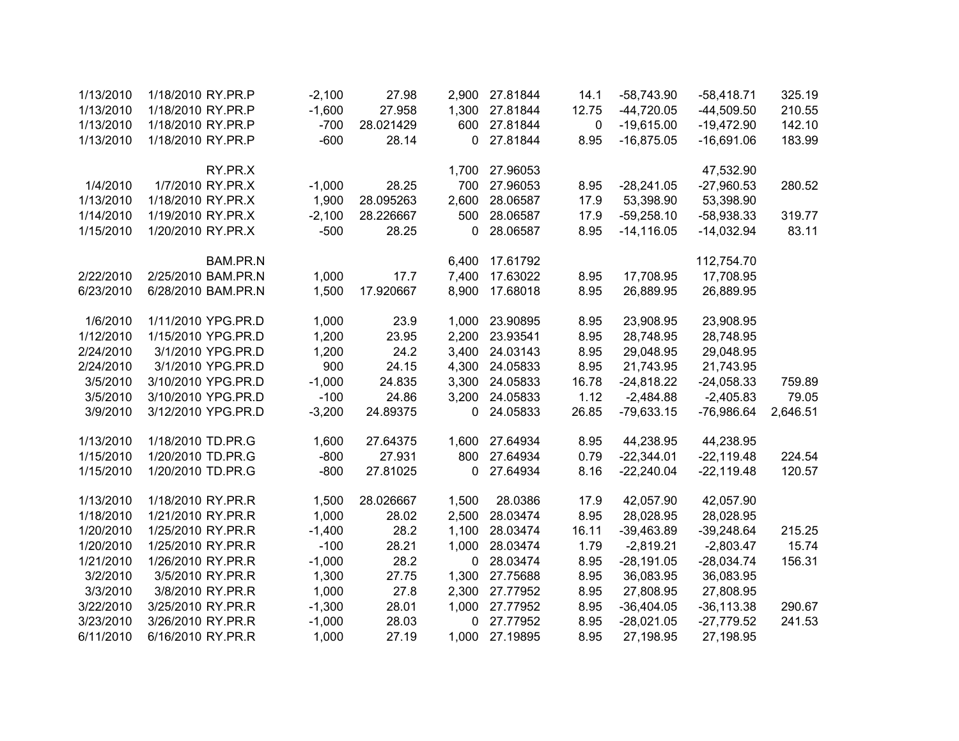| 1/13/2010 | 1/18/2010 RY.PR.P  | $-2,100$ | 27.98     | 2,900        | 27.81844 | 14.1        | $-58,743.90$  | $-58,418.71$  | 325.19   |
|-----------|--------------------|----------|-----------|--------------|----------|-------------|---------------|---------------|----------|
| 1/13/2010 | 1/18/2010 RY.PR.P  | $-1,600$ | 27.958    | 1,300        | 27.81844 | 12.75       | $-44,720.05$  | $-44,509.50$  | 210.55   |
| 1/13/2010 | 1/18/2010 RY.PR.P  | $-700$   | 28.021429 | 600          | 27.81844 | $\mathbf 0$ | $-19,615.00$  | $-19,472.90$  | 142.10   |
| 1/13/2010 | 1/18/2010 RY.PR.P  | $-600$   | 28.14     | $\mathbf{0}$ | 27.81844 | 8.95        | $-16,875.05$  | $-16,691.06$  | 183.99   |
|           | RY.PR.X            |          |           | 1,700        | 27.96053 |             |               | 47,532.90     |          |
| 1/4/2010  | 1/7/2010 RY.PR.X   | $-1,000$ | 28.25     | 700          | 27.96053 | 8.95        | $-28,241.05$  | $-27,960.53$  | 280.52   |
| 1/13/2010 | 1/18/2010 RY.PR.X  | 1,900    | 28.095263 | 2,600        | 28.06587 | 17.9        | 53,398.90     | 53,398.90     |          |
| 1/14/2010 | 1/19/2010 RY.PR.X  | $-2,100$ | 28.226667 | 500          | 28.06587 | 17.9        | $-59,258.10$  | $-58,938.33$  | 319.77   |
| 1/15/2010 | 1/20/2010 RY.PR.X  | $-500$   | 28.25     | 0            | 28.06587 | 8.95        | $-14, 116.05$ | $-14,032.94$  | 83.11    |
|           | BAM.PR.N           |          |           | 6,400        | 17.61792 |             |               | 112,754.70    |          |
| 2/22/2010 | 2/25/2010 BAM.PR.N | 1,000    | 17.7      | 7,400        | 17.63022 | 8.95        | 17,708.95     | 17,708.95     |          |
| 6/23/2010 | 6/28/2010 BAM.PR.N | 1,500    | 17.920667 | 8,900        | 17.68018 | 8.95        | 26,889.95     | 26,889.95     |          |
| 1/6/2010  | 1/11/2010 YPG.PR.D | 1,000    | 23.9      | 1,000        | 23.90895 | 8.95        | 23,908.95     | 23,908.95     |          |
| 1/12/2010 | 1/15/2010 YPG.PR.D | 1,200    | 23.95     | 2,200        | 23.93541 | 8.95        | 28,748.95     | 28,748.95     |          |
| 2/24/2010 | 3/1/2010 YPG.PR.D  | 1,200    | 24.2      | 3,400        | 24.03143 | 8.95        | 29,048.95     | 29,048.95     |          |
| 2/24/2010 | 3/1/2010 YPG.PR.D  | 900      | 24.15     | 4,300        | 24.05833 | 8.95        | 21,743.95     | 21,743.95     |          |
| 3/5/2010  | 3/10/2010 YPG.PR.D | $-1,000$ | 24.835    | 3,300        | 24.05833 | 16.78       | $-24,818.22$  | $-24,058.33$  | 759.89   |
| 3/5/2010  | 3/10/2010 YPG.PR.D | $-100$   | 24.86     | 3,200        | 24.05833 | 1.12        | $-2,484.88$   | $-2,405.83$   | 79.05    |
| 3/9/2010  | 3/12/2010 YPG.PR.D | $-3,200$ | 24.89375  | 0            | 24.05833 | 26.85       | $-79,633.15$  | $-76,986.64$  | 2,646.51 |
| 1/13/2010 | 1/18/2010 TD.PR.G  | 1,600    | 27.64375  | 1,600        | 27.64934 | 8.95        | 44,238.95     | 44,238.95     |          |
| 1/15/2010 | 1/20/2010 TD.PR.G  | $-800$   | 27.931    | 800          | 27.64934 | 0.79        | $-22,344.01$  | $-22,119.48$  | 224.54   |
| 1/15/2010 | 1/20/2010 TD.PR.G  | $-800$   | 27.81025  | $\mathbf 0$  | 27.64934 | 8.16        | $-22,240.04$  | $-22,119.48$  | 120.57   |
| 1/13/2010 | 1/18/2010 RY.PR.R  | 1,500    | 28.026667 | 1,500        | 28.0386  | 17.9        | 42,057.90     | 42,057.90     |          |
| 1/18/2010 | 1/21/2010 RY.PR.R  | 1,000    | 28.02     | 2,500        | 28.03474 | 8.95        | 28,028.95     | 28,028.95     |          |
| 1/20/2010 | 1/25/2010 RY.PR.R  | $-1,400$ | 28.2      | 1,100        | 28.03474 | 16.11       | $-39,463.89$  | $-39,248.64$  | 215.25   |
| 1/20/2010 | 1/25/2010 RY.PR.R  | $-100$   | 28.21     | 1,000        | 28.03474 | 1.79        | $-2,819.21$   | $-2,803.47$   | 15.74    |
| 1/21/2010 | 1/26/2010 RY.PR.R  | $-1,000$ | 28.2      | $\mathbf 0$  | 28.03474 | 8.95        | $-28,191.05$  | $-28,034.74$  | 156.31   |
| 3/2/2010  | 3/5/2010 RY.PR.R   | 1,300    | 27.75     | 1,300        | 27.75688 | 8.95        | 36,083.95     | 36,083.95     |          |
| 3/3/2010  | 3/8/2010 RY.PR.R   | 1,000    | 27.8      | 2,300        | 27.77952 | 8.95        | 27,808.95     | 27,808.95     |          |
| 3/22/2010 | 3/25/2010 RY.PR.R  | $-1,300$ | 28.01     | 1,000        | 27.77952 | 8.95        | $-36,404.05$  | $-36, 113.38$ | 290.67   |
| 3/23/2010 | 3/26/2010 RY.PR.R  | $-1,000$ | 28.03     | $\mathbf 0$  | 27.77952 | 8.95        | $-28,021.05$  | $-27,779.52$  | 241.53   |
| 6/11/2010 | 6/16/2010 RY.PR.R  | 1,000    | 27.19     | 1,000        | 27.19895 | 8.95        | 27,198.95     | 27,198.95     |          |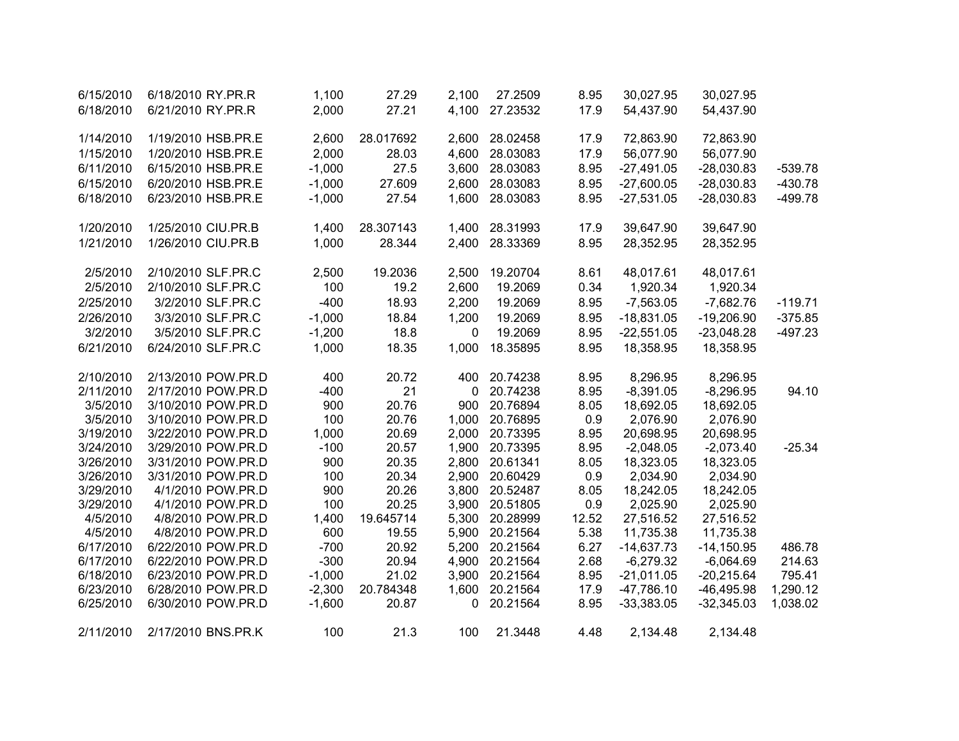| 6/15/2010 | 6/18/2010 RY.PR.R  | 1,100    | 27.29     | 2,100       | 27.2509  | 8.95  | 30,027.95    | 30,027.95    |           |
|-----------|--------------------|----------|-----------|-------------|----------|-------|--------------|--------------|-----------|
| 6/18/2010 | 6/21/2010 RY.PR.R  | 2,000    | 27.21     | 4,100       | 27.23532 | 17.9  | 54,437.90    | 54,437.90    |           |
|           |                    |          |           |             |          |       |              |              |           |
| 1/14/2010 | 1/19/2010 HSB.PR.E | 2,600    | 28.017692 | 2,600       | 28.02458 | 17.9  | 72,863.90    | 72,863.90    |           |
| 1/15/2010 | 1/20/2010 HSB.PR.E | 2,000    | 28.03     | 4,600       | 28.03083 | 17.9  | 56,077.90    | 56,077.90    |           |
| 6/11/2010 | 6/15/2010 HSB.PR.E | $-1,000$ | 27.5      | 3,600       | 28.03083 | 8.95  | $-27,491.05$ | $-28,030.83$ | $-539.78$ |
| 6/15/2010 | 6/20/2010 HSB.PR.E | $-1,000$ | 27.609    | 2,600       | 28.03083 | 8.95  | $-27,600.05$ | $-28,030.83$ | $-430.78$ |
| 6/18/2010 | 6/23/2010 HSB.PR.E | $-1,000$ | 27.54     | 1,600       | 28.03083 | 8.95  | $-27,531.05$ | $-28,030.83$ | $-499.78$ |
|           |                    |          |           |             |          |       |              |              |           |
| 1/20/2010 | 1/25/2010 CIU.PR.B | 1,400    | 28.307143 | 1,400       | 28.31993 | 17.9  | 39,647.90    | 39,647.90    |           |
| 1/21/2010 | 1/26/2010 CIU.PR.B | 1,000    | 28.344    | 2,400       | 28.33369 | 8.95  | 28,352.95    | 28,352.95    |           |
|           |                    |          |           |             |          |       |              |              |           |
| 2/5/2010  | 2/10/2010 SLF.PR.C | 2,500    | 19.2036   | 2,500       | 19.20704 | 8.61  | 48,017.61    | 48,017.61    |           |
| 2/5/2010  | 2/10/2010 SLF.PR.C | 100      | 19.2      | 2,600       | 19.2069  | 0.34  | 1,920.34     | 1,920.34     |           |
| 2/25/2010 | 3/2/2010 SLF.PR.C  | $-400$   | 18.93     | 2,200       | 19.2069  | 8.95  | $-7,563.05$  | $-7,682.76$  | $-119.71$ |
| 2/26/2010 | 3/3/2010 SLF.PR.C  | $-1,000$ | 18.84     | 1,200       | 19.2069  | 8.95  | $-18,831.05$ | $-19,206.90$ | $-375.85$ |
| 3/2/2010  | 3/5/2010 SLF.PR.C  | $-1,200$ | 18.8      | $\Omega$    | 19.2069  | 8.95  | $-22,551.05$ | $-23,048.28$ | $-497.23$ |
| 6/21/2010 | 6/24/2010 SLF.PR.C | 1,000    | 18.35     | 1,000       | 18.35895 | 8.95  | 18,358.95    | 18,358.95    |           |
|           |                    |          |           |             |          |       |              |              |           |
| 2/10/2010 | 2/13/2010 POW.PR.D | 400      | 20.72     | 400         | 20.74238 | 8.95  | 8,296.95     | 8,296.95     |           |
| 2/11/2010 | 2/17/2010 POW.PR.D | $-400$   | 21        | $\mathbf 0$ | 20.74238 | 8.95  | $-8,391.05$  | $-8,296.95$  | 94.10     |
| 3/5/2010  | 3/10/2010 POW.PR.D | 900      | 20.76     | 900         | 20.76894 | 8.05  | 18,692.05    | 18,692.05    |           |
| 3/5/2010  | 3/10/2010 POW.PR.D | 100      | 20.76     | 1,000       | 20.76895 | 0.9   | 2,076.90     | 2,076.90     |           |
| 3/19/2010 | 3/22/2010 POW.PR.D | 1,000    | 20.69     | 2,000       | 20.73395 | 8.95  | 20,698.95    | 20,698.95    |           |
| 3/24/2010 | 3/29/2010 POW.PR.D | $-100$   | 20.57     | 1,900       | 20.73395 | 8.95  | $-2,048.05$  | $-2,073.40$  | $-25.34$  |
| 3/26/2010 | 3/31/2010 POW.PR.D | 900      | 20.35     | 2,800       | 20.61341 | 8.05  | 18,323.05    | 18,323.05    |           |
| 3/26/2010 | 3/31/2010 POW.PR.D | 100      | 20.34     | 2,900       | 20.60429 | 0.9   | 2,034.90     | 2,034.90     |           |
| 3/29/2010 | 4/1/2010 POW.PR.D  | 900      | 20.26     | 3,800       | 20.52487 | 8.05  | 18,242.05    | 18,242.05    |           |
| 3/29/2010 | 4/1/2010 POW.PR.D  | 100      | 20.25     | 3,900       | 20.51805 | 0.9   | 2,025.90     | 2,025.90     |           |
| 4/5/2010  | 4/8/2010 POW.PR.D  | 1,400    | 19.645714 | 5,300       | 20.28999 | 12.52 | 27,516.52    | 27,516.52    |           |
| 4/5/2010  | 4/8/2010 POW.PR.D  | 600      | 19.55     | 5,900       | 20.21564 | 5.38  | 11,735.38    | 11,735.38    |           |
| 6/17/2010 | 6/22/2010 POW.PR.D | $-700$   | 20.92     | 5,200       | 20.21564 | 6.27  | $-14,637.73$ | $-14,150.95$ | 486.78    |
| 6/17/2010 | 6/22/2010 POW.PR.D | $-300$   | 20.94     | 4,900       | 20.21564 | 2.68  | $-6,279.32$  | $-6,064.69$  | 214.63    |
| 6/18/2010 | 6/23/2010 POW.PR.D | $-1,000$ | 21.02     | 3,900       | 20.21564 | 8.95  | $-21,011.05$ | $-20,215.64$ | 795.41    |
| 6/23/2010 | 6/28/2010 POW.PR.D | $-2,300$ | 20.784348 | 1,600       | 20.21564 | 17.9  | $-47,786.10$ | $-46,495.98$ | 1,290.12  |
| 6/25/2010 | 6/30/2010 POW.PR.D | $-1,600$ | 20.87     | 0           | 20.21564 | 8.95  | $-33,383.05$ | $-32,345.03$ | 1,038.02  |
| 2/11/2010 | 2/17/2010 BNS.PR.K | 100      | 21.3      | 100         | 21.3448  | 4.48  | 2,134.48     | 2,134.48     |           |
|           |                    |          |           |             |          |       |              |              |           |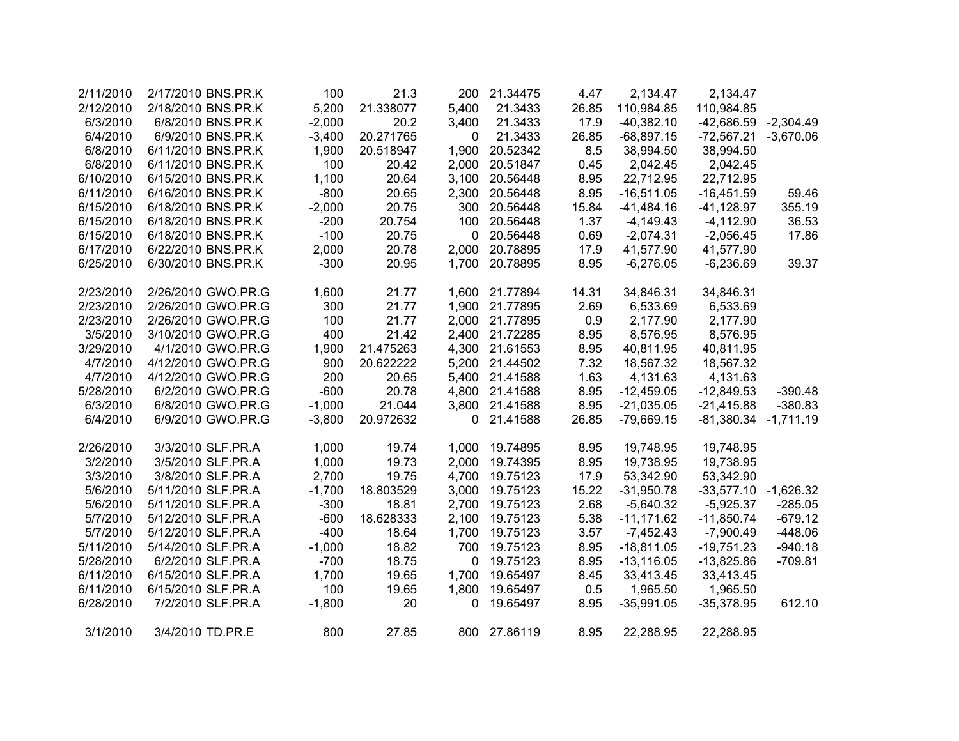| 2/11/2010 | 2/17/2010 BNS.PR.K | 100      | 21.3      | 200          | 21.34475     | 4.47  | 2,134.47     | 2,134.47                 |             |
|-----------|--------------------|----------|-----------|--------------|--------------|-------|--------------|--------------------------|-------------|
| 2/12/2010 | 2/18/2010 BNS.PR.K | 5,200    | 21.338077 | 5,400        | 21.3433      | 26.85 | 110,984.85   | 110,984.85               |             |
| 6/3/2010  | 6/8/2010 BNS.PR.K  | $-2,000$ | 20.2      | 3,400        | 21.3433      | 17.9  | $-40,382.10$ | -42,686.59 -2,304.49     |             |
| 6/4/2010  | 6/9/2010 BNS.PR.K  | $-3,400$ | 20.271765 | 0            | 21.3433      | 26.85 | $-68,897.15$ | $-72,567.21$             | $-3,670.06$ |
| 6/8/2010  | 6/11/2010 BNS.PR.K | 1,900    | 20.518947 | 1,900        | 20.52342     | 8.5   | 38,994.50    | 38,994.50                |             |
| 6/8/2010  | 6/11/2010 BNS.PR.K | 100      | 20.42     | 2,000        | 20.51847     | 0.45  | 2,042.45     | 2,042.45                 |             |
| 6/10/2010 | 6/15/2010 BNS.PR.K | 1,100    | 20.64     | 3,100        | 20.56448     | 8.95  | 22,712.95    | 22,712.95                |             |
| 6/11/2010 | 6/16/2010 BNS.PR.K | $-800$   | 20.65     | 2,300        | 20.56448     | 8.95  | $-16,511.05$ | $-16,451.59$             | 59.46       |
| 6/15/2010 | 6/18/2010 BNS.PR.K | $-2,000$ | 20.75     | 300          | 20.56448     | 15.84 | $-41,484.16$ | $-41,128.97$             | 355.19      |
| 6/15/2010 | 6/18/2010 BNS.PR.K | $-200$   | 20.754    | 100          | 20.56448     | 1.37  | $-4,149.43$  | $-4,112.90$              | 36.53       |
| 6/15/2010 | 6/18/2010 BNS.PR.K | $-100$   | 20.75     | $\mathbf 0$  | 20.56448     | 0.69  | $-2,074.31$  | $-2,056.45$              | 17.86       |
| 6/17/2010 | 6/22/2010 BNS.PR.K | 2,000    | 20.78     | 2,000        | 20.78895     | 17.9  | 41,577.90    | 41,577.90                |             |
| 6/25/2010 | 6/30/2010 BNS.PR.K | $-300$   | 20.95     | 1,700        | 20.78895     | 8.95  | $-6,276.05$  | $-6,236.69$              | 39.37       |
| 2/23/2010 | 2/26/2010 GWO.PR.G | 1,600    | 21.77     | 1,600        | 21.77894     | 14.31 | 34,846.31    | 34,846.31                |             |
| 2/23/2010 | 2/26/2010 GWO.PR.G | 300      | 21.77     | 1,900        | 21.77895     | 2.69  | 6,533.69     | 6,533.69                 |             |
| 2/23/2010 | 2/26/2010 GWO.PR.G | 100      | 21.77     | 2,000        | 21.77895     | 0.9   | 2,177.90     | 2,177.90                 |             |
| 3/5/2010  | 3/10/2010 GWO.PR.G | 400      | 21.42     | 2,400        | 21.72285     | 8.95  | 8,576.95     | 8,576.95                 |             |
| 3/29/2010 | 4/1/2010 GWO.PR.G  | 1,900    | 21.475263 | 4,300        | 21.61553     | 8.95  | 40,811.95    | 40,811.95                |             |
| 4/7/2010  | 4/12/2010 GWO.PR.G | 900      | 20.622222 | 5,200        | 21.44502     | 7.32  | 18,567.32    | 18,567.32                |             |
| 4/7/2010  | 4/12/2010 GWO.PR.G | 200      | 20.65     | 5,400        | 21.41588     | 1.63  | 4,131.63     | 4,131.63                 |             |
| 5/28/2010 | 6/2/2010 GWO.PR.G  | $-600$   | 20.78     | 4,800        | 21.41588     | 8.95  | $-12,459.05$ | $-12,849.53$             | $-390.48$   |
| 6/3/2010  | 6/8/2010 GWO.PR.G  | $-1,000$ | 21.044    | 3,800        | 21.41588     | 8.95  | $-21,035.05$ | $-21,415.88$             | $-380.83$   |
| 6/4/2010  | 6/9/2010 GWO.PR.G  | $-3,800$ | 20.972632 | $\mathbf 0$  | 21.41588     | 26.85 | $-79,669.15$ | $-81,380.34$ $-1,711.19$ |             |
| 2/26/2010 | 3/3/2010 SLF.PR.A  | 1,000    | 19.74     | 1,000        | 19.74895     | 8.95  | 19,748.95    | 19,748.95                |             |
| 3/2/2010  | 3/5/2010 SLF.PR.A  | 1,000    | 19.73     | 2,000        | 19.74395     | 8.95  | 19,738.95    | 19,738.95                |             |
| 3/3/2010  | 3/8/2010 SLF.PR.A  | 2,700    | 19.75     | 4,700        | 19.75123     | 17.9  | 53,342.90    | 53,342.90                |             |
| 5/6/2010  | 5/11/2010 SLF.PR.A | $-1,700$ | 18.803529 | 3,000        | 19.75123     | 15.22 | $-31,950.78$ | -33,577.10 -1,626.32     |             |
| 5/6/2010  | 5/11/2010 SLF.PR.A | $-300$   | 18.81     | 2,700        | 19.75123     | 2.68  | $-5,640.32$  | $-5,925.37$              | $-285.05$   |
| 5/7/2010  | 5/12/2010 SLF.PR.A | $-600$   | 18.628333 | 2,100        | 19.75123     | 5.38  | $-11,171.62$ | $-11,850.74$             | $-679.12$   |
| 5/7/2010  | 5/12/2010 SLF.PR.A | $-400$   | 18.64     | 1,700        | 19.75123     | 3.57  | $-7,452.43$  | $-7,900.49$              | $-448.06$   |
| 5/11/2010 | 5/14/2010 SLF.PR.A | $-1,000$ | 18.82     | 700          | 19.75123     | 8.95  | $-18,811.05$ | $-19,751.23$             | $-940.18$   |
| 5/28/2010 | 6/2/2010 SLF.PR.A  | $-700$   | 18.75     | 0            | 19.75123     | 8.95  | $-13,116.05$ | $-13,825.86$             | $-709.81$   |
| 6/11/2010 | 6/15/2010 SLF.PR.A | 1,700    | 19.65     | 1,700        | 19.65497     | 8.45  | 33,413.45    | 33,413.45                |             |
| 6/11/2010 | 6/15/2010 SLF.PR.A | 100      | 19.65     | 1,800        | 19.65497     | 0.5   | 1,965.50     | 1,965.50                 |             |
| 6/28/2010 | 7/2/2010 SLF.PR.A  | $-1,800$ | 20        | $\mathbf{0}$ | 19.65497     | 8.95  | $-35,991.05$ | $-35,378.95$             | 612.10      |
| 3/1/2010  | 3/4/2010 TD.PR.E   | 800      | 27.85     |              | 800 27.86119 | 8.95  | 22,288.95    | 22,288.95                |             |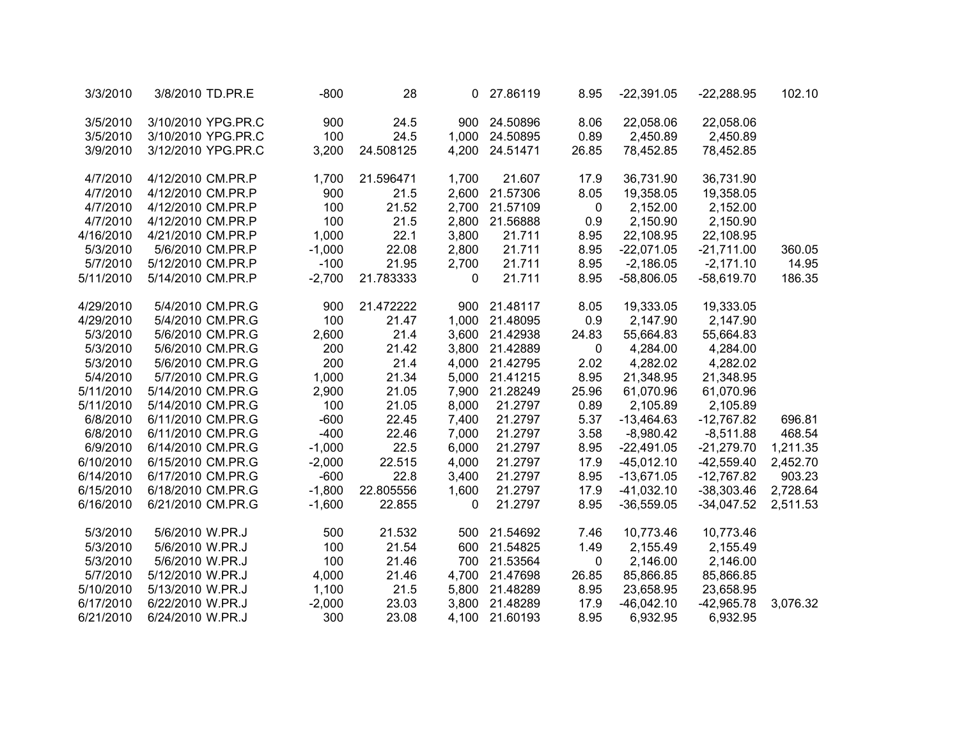| 3/3/2010  | 3/8/2010 TD.PR.E   | $-800$   | 28        | 0            | 27.86119       | 8.95        | $-22,391.05$ | $-22,288.95$ | 102.10   |
|-----------|--------------------|----------|-----------|--------------|----------------|-------------|--------------|--------------|----------|
| 3/5/2010  | 3/10/2010 YPG.PR.C | 900      | 24.5      | 900          | 24.50896       | 8.06        | 22,058.06    | 22,058.06    |          |
| 3/5/2010  | 3/10/2010 YPG.PR.C | 100      | 24.5      | 1,000        | 24.50895       | 0.89        | 2,450.89     | 2,450.89     |          |
| 3/9/2010  | 3/12/2010 YPG.PR.C | 3,200    | 24.508125 | 4,200        | 24.51471       | 26.85       | 78,452.85    | 78,452.85    |          |
| 4/7/2010  | 4/12/2010 CM.PR.P  | 1,700    | 21.596471 | 1,700        | 21.607         | 17.9        | 36,731.90    | 36,731.90    |          |
| 4/7/2010  | 4/12/2010 CM.PR.P  | 900      | 21.5      | 2,600        | 21.57306       | 8.05        | 19,358.05    | 19,358.05    |          |
| 4/7/2010  | 4/12/2010 CM.PR.P  | 100      | 21.52     | 2,700        | 21.57109       | 0           | 2,152.00     | 2,152.00     |          |
| 4/7/2010  | 4/12/2010 CM.PR.P  | 100      | 21.5      | 2,800        | 21.56888       | 0.9         | 2,150.90     | 2,150.90     |          |
| 4/16/2010 | 4/21/2010 CM.PR.P  | 1,000    | 22.1      | 3,800        | 21.711         | 8.95        | 22,108.95    | 22,108.95    |          |
| 5/3/2010  | 5/6/2010 CM.PR.P   | $-1,000$ | 22.08     | 2,800        | 21.711         | 8.95        | $-22,071.05$ | $-21,711.00$ | 360.05   |
| 5/7/2010  | 5/12/2010 CM.PR.P  | $-100$   | 21.95     | 2,700        | 21.711         | 8.95        | $-2,186.05$  | $-2,171.10$  | 14.95    |
| 5/11/2010 | 5/14/2010 CM.PR.P  | $-2,700$ | 21.783333 | 0            | 21.711         | 8.95        | $-58,806.05$ | $-58,619.70$ | 186.35   |
| 4/29/2010 | 5/4/2010 CM.PR.G   | 900      | 21.472222 | 900          | 21.48117       | 8.05        | 19,333.05    | 19,333.05    |          |
| 4/29/2010 | 5/4/2010 CM.PR.G   | 100      | 21.47     | 1,000        | 21.48095       | 0.9         | 2,147.90     | 2,147.90     |          |
| 5/3/2010  | 5/6/2010 CM.PR.G   | 2,600    | 21.4      |              | 3,600 21.42938 | 24.83       | 55,664.83    | 55,664.83    |          |
| 5/3/2010  | 5/6/2010 CM.PR.G   | 200      | 21.42     |              | 3,800 21.42889 | 0           | 4,284.00     | 4,284.00     |          |
| 5/3/2010  | 5/6/2010 CM.PR.G   | 200      | 21.4      |              | 4,000 21.42795 | 2.02        | 4,282.02     | 4,282.02     |          |
| 5/4/2010  | 5/7/2010 CM.PR.G   | 1,000    | 21.34     | 5,000        | 21.41215       | 8.95        | 21,348.95    | 21,348.95    |          |
| 5/11/2010 | 5/14/2010 CM.PR.G  | 2,900    | 21.05     | 7,900        | 21.28249       | 25.96       | 61,070.96    | 61,070.96    |          |
| 5/11/2010 | 5/14/2010 CM.PR.G  | 100      | 21.05     | 8,000        | 21.2797        | 0.89        | 2,105.89     | 2,105.89     |          |
| 6/8/2010  | 6/11/2010 CM.PR.G  | $-600$   | 22.45     | 7,400        | 21.2797        | 5.37        | $-13,464.63$ | $-12,767.82$ | 696.81   |
| 6/8/2010  | 6/11/2010 CM.PR.G  | $-400$   | 22.46     | 7,000        | 21.2797        | 3.58        | $-8,980.42$  | $-8,511.88$  | 468.54   |
| 6/9/2010  | 6/14/2010 CM.PR.G  | $-1,000$ | 22.5      | 6,000        | 21.2797        | 8.95        | $-22,491.05$ | $-21,279.70$ | 1,211.35 |
| 6/10/2010 | 6/15/2010 CM.PR.G  | $-2,000$ | 22.515    | 4,000        | 21.2797        | 17.9        | $-45,012.10$ | $-42,559.40$ | 2,452.70 |
| 6/14/2010 | 6/17/2010 CM.PR.G  | $-600$   | 22.8      | 3,400        | 21.2797        | 8.95        | $-13,671.05$ | $-12,767.82$ | 903.23   |
| 6/15/2010 | 6/18/2010 CM.PR.G  | $-1,800$ | 22.805556 | 1,600        | 21.2797        | 17.9        | $-41,032.10$ | $-38,303.46$ | 2,728.64 |
| 6/16/2010 | 6/21/2010 CM.PR.G  | $-1,600$ | 22.855    | $\mathbf{0}$ | 21.2797        | 8.95        | $-36,559.05$ | $-34,047.52$ | 2,511.53 |
| 5/3/2010  | 5/6/2010 W.PR.J    | 500      | 21.532    | 500          | 21.54692       | 7.46        | 10,773.46    | 10,773.46    |          |
| 5/3/2010  | 5/6/2010 W.PR.J    | 100      | 21.54     | 600          | 21.54825       | 1.49        | 2,155.49     | 2,155.49     |          |
| 5/3/2010  | 5/6/2010 W.PR.J    | 100      | 21.46     | 700          | 21.53564       | $\mathbf 0$ | 2,146.00     | 2,146.00     |          |
| 5/7/2010  | 5/12/2010 W.PR.J   | 4,000    | 21.46     | 4,700        | 21.47698       | 26.85       | 85,866.85    | 85,866.85    |          |
| 5/10/2010 | 5/13/2010 W.PR.J   | 1,100    | 21.5      |              | 5,800 21.48289 | 8.95        | 23,658.95    | 23,658.95    |          |
| 6/17/2010 | 6/22/2010 W.PR.J   | $-2,000$ | 23.03     |              | 3,800 21.48289 | 17.9        | $-46,042.10$ | $-42,965.78$ | 3,076.32 |
| 6/21/2010 | 6/24/2010 W.PR.J   | 300      | 23.08     |              | 4,100 21.60193 | 8.95        | 6,932.95     | 6,932.95     |          |